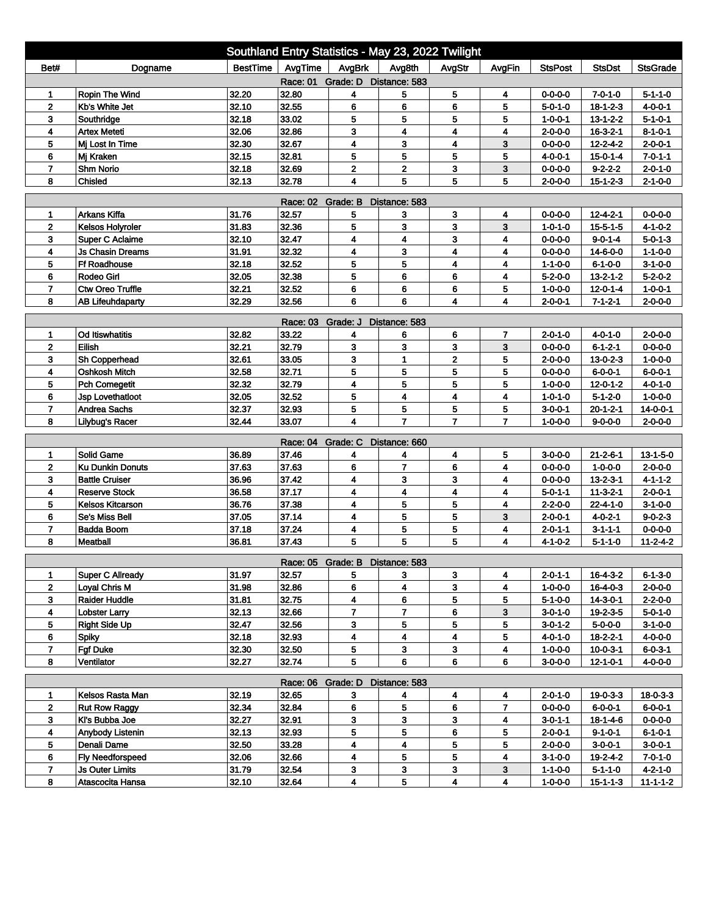| Southland Entry Statistics - May 23, 2022 Twilight |                         |                |                            |                                 |                         |                         |                |                                    |                  |                  |  |
|----------------------------------------------------|-------------------------|----------------|----------------------------|---------------------------------|-------------------------|-------------------------|----------------|------------------------------------|------------------|------------------|--|
| Bet#                                               | Dogname                 | BestTime       | AvgTime                    | AvgBrk                          | Avg8th                  | AvgStr                  | AvgFin         | <b>StsPost</b>                     | <b>StsDst</b>    | <b>StsGrade</b>  |  |
| Grade: D Distance: 583<br>Race: 01                 |                         |                |                            |                                 |                         |                         |                |                                    |                  |                  |  |
| 1                                                  | Ropin The Wind          | 32.20          | 32.80                      | 4                               | 5                       | 5                       | 4              | $0 - 0 - 0 - 0$                    | $7 - 0 - 1 - 0$  | $5 - 1 - 1 - 0$  |  |
| $\mathbf 2$                                        | Kb's White Jet          | 32.10          | 32.55                      | 6                               | 6                       | 6                       | 5              | $5 - 0 - 1 - 0$                    | $18 - 1 - 2 - 3$ | $4 - 0 - 0 - 1$  |  |
| 3                                                  | Southridge              | 32.18          | 33.02                      | 5                               | 5                       | 5                       | 5              | $1 - 0 - 0 - 1$                    | $13 - 1 - 2 - 2$ | $5 - 1 - 0 - 1$  |  |
| 4                                                  | <b>Artex Meteti</b>     | 32.06          | 32.86                      | 3                               | 4                       | 4                       | 4              | $2 - 0 - 0 - 0$                    | $16 - 3 - 2 - 1$ | $8 - 1 - 0 - 1$  |  |
| 5                                                  | Mi Lost In Time         | 32.30          | 32.67                      | 4                               | 3                       | $\overline{\mathbf{4}}$ | 3              | $0 - 0 - 0 - 0$                    | $12 - 2 - 4 - 2$ | $2 - 0 - 0 - 1$  |  |
| 6                                                  | Mj Kraken               | 32.15          | 32.81                      | 5                               | 5                       | 5                       | 5              | $4 - 0 - 0 - 1$                    | $15 - 0 - 1 - 4$ | $7 - 0 - 1 - 1$  |  |
| $\overline{7}$<br>8                                | Shm Norio<br>Chisled    | 32.18<br>32.13 | 32.69<br>32.78             | $\mathbf{2}$<br>4               | $\mathbf{2}$<br>5       | 3<br>5                  | 3              | $0 - 0 - 0 - 0$<br>$2 - 0 - 0 - 0$ | $9 - 2 - 2 - 2$  | $2 - 0 - 1 - 0$  |  |
| 5<br>$2 - 1 - 0 - 0$<br>$15 - 1 - 2 - 3$           |                         |                |                            |                                 |                         |                         |                |                                    |                  |                  |  |
| <b>Race: 02</b><br>Grade: B<br>Distance: 583       |                         |                |                            |                                 |                         |                         |                |                                    |                  |                  |  |
| 1                                                  | Arkans Kiffa            | 31.76          | 32.57                      | 5                               | 3                       | 3                       | 4              | $0 - 0 - 0 - 0$                    | $12 - 4 - 2 - 1$ | $0 - 0 - 0 - 0$  |  |
| $\mathbf{2}$                                       | Kelsos Holyroler        | 31.83          | 32.36                      | 5                               | 3                       | 3                       | 3              | $1 - 0 - 1 - 0$                    | $15 - 5 - 1 - 5$ | $4 - 1 - 0 - 2$  |  |
| 3                                                  | <b>Super C Aclaime</b>  | 32.10          | 32.47                      | 4                               | $\overline{\mathbf{4}}$ | 3                       | 4              | $0 - 0 - 0 - 0$                    | $9 - 0 - 1 - 4$  | $5 - 0 - 1 - 3$  |  |
| 4                                                  | <b>Js Chasin Dreams</b> | 31.91          | 32.32                      | 4                               | 3                       | 4                       | 4              | $0 - 0 - 0 - 0$                    | 14-6-0-0         | $1 - 1 - 0 - 0$  |  |
| 5                                                  | Ff Roadhouse            | 32.18          | 32.52                      | 5                               | 5                       | $\overline{\mathbf{4}}$ | 4              | $1 - 1 - 0 - 0$                    | $6 - 1 - 0 - 0$  | $3-1-0-0$        |  |
| 6                                                  | Rodeo Girl              | 32.05          | 32.38                      | 5                               | 6                       | 6                       | 4              | $5 - 2 - 0 - 0$                    | $13 - 2 - 1 - 2$ | $5 - 2 - 0 - 2$  |  |
| $\overline{7}$                                     | <b>Ctw Oreo Truffle</b> | 32.21          | 32.52                      | 6                               | 6                       | 6                       | 5              | $1 - 0 - 0 - 0$                    | $12 - 0 - 1 - 4$ | $1 - 0 - 0 - 1$  |  |
| 8                                                  | <b>AB Lifeuhdaparty</b> | 32.29          | 32.56                      | 6                               | 6                       | 4                       | 4              | $2 - 0 - 0 - 1$                    | $7 - 1 - 2 - 1$  | $2 - 0 - 0 - 0$  |  |
| Grade: J<br>Distance: 583<br>Race: 03              |                         |                |                            |                                 |                         |                         |                |                                    |                  |                  |  |
| 1                                                  | <b>Od Itiswhatitis</b>  | 32.82          | 33.22                      | 4                               | 6                       | 6                       | 7              | $2 - 0 - 1 - 0$                    | $4 - 0 - 1 - 0$  | $2 - 0 - 0 - 0$  |  |
| $\mathbf 2$                                        | Eilish                  | 32.21          | 32.79                      | 3                               | 3                       | 3                       | 3              | $0 - 0 - 0 - 0$                    | $6 - 1 - 2 - 1$  | $0 - 0 - 0 - 0$  |  |
| 3                                                  | Sh Copperhead           | 32.61          | 33.05                      | 3                               | $\mathbf{1}$            | $\mathbf{2}$            | 5              | $2 - 0 - 0 - 0$                    | $13 - 0 - 2 - 3$ | $1 - 0 - 0 - 0$  |  |
| 4                                                  | <b>Oshkosh Mitch</b>    | 32.58          | 32.71                      | 5                               | 5                       | 5                       | 5              | $0 - 0 - 0 - 0$                    | 6-0-0-1          | $6 - 0 - 0 - 1$  |  |
| 5                                                  | <b>Pch Comegetit</b>    | 32.32          | 32.79                      | 4                               | 5                       | 5                       | 5              | $1 - 0 - 0 - 0$                    | $12 - 0 - 1 - 2$ | $4 - 0 - 1 - 0$  |  |
| 6                                                  | Jsp Lovethatloot        | 32.05          | 32.52                      | 5                               | 4                       | 4                       | 4              | $1 - 0 - 1 - 0$                    | $5 - 1 - 2 - 0$  | $1 - 0 - 0 - 0$  |  |
| 7                                                  | <b>Andrea Sachs</b>     | 32.37          | 32.93                      | 5                               | 5                       | 5                       | 5              | $3 - 0 - 0 - 1$                    | $20 - 1 - 2 - 1$ | 14-0-0-1         |  |
| 8                                                  | <b>Lilybug's Racer</b>  | 32.44          | 33.07                      | 4                               | $\overline{7}$          | $\overline{7}$          | $\overline{7}$ | $1 - 0 - 0 - 0$                    | $9 - 0 - 0 - 0$  | $2 - 0 - 0 - 0$  |  |
|                                                    |                         |                | Race: 04                   | Grade: C                        | Distance: 660           |                         |                |                                    |                  |                  |  |
| 1                                                  | <b>Solid Game</b>       | 36.89          | 37.46                      | 4                               | 4                       | 4                       | 5              | $3 - 0 - 0 - 0$                    | $21 - 2 - 6 - 1$ | $13 - 1 - 5 - 0$ |  |
| $\mathbf 2$                                        | <b>Ku Dunkin Donuts</b> | 37.63          | 37.63                      | 6                               | $\overline{7}$          | 6                       | 4              | $0 - 0 - 0 - 0$                    | $1 - 0 - 0 - 0$  | $2 - 0 - 0 - 0$  |  |
| 3                                                  | <b>Battle Cruiser</b>   | 36.96          | 37.42                      | 4                               | 3                       | 3                       | 4              | $0 - 0 - 0 - 0$                    | $13 - 2 - 3 - 1$ | $4 - 1 - 1 - 2$  |  |
| 4                                                  | <b>Reserve Stock</b>    | 36.58          | 37.17                      | 4                               | 4                       | 4                       | 4              | $5 - 0 - 1 - 1$                    | $11 - 3 - 2 - 1$ | $2 - 0 - 0 - 1$  |  |
| 5                                                  | <b>Kelsos Kitcarson</b> | 36.76          | 37.38                      | 4                               | 5                       | 5                       | 4              | $2 - 2 - 0 - 0$                    | $22 - 4 - 1 - 0$ | $3-1-0-0$        |  |
| 6                                                  | Se's Miss Bell          | 37.05          | 37.14                      | 4                               | 5                       | 5                       | 3              | $2 - 0 - 0 - 1$                    | $4 - 0 - 2 - 1$  | $9 - 0 - 2 - 3$  |  |
| $\overline{7}$                                     | <b>Badda Boom</b>       | 37.18          | 37.24                      | 4                               | 5                       | 5                       | 4              | $2 - 0 - 1 - 1$                    | $3 - 1 - 1 - 1$  | $0 - 0 - 0 - 0$  |  |
| 8                                                  | Meatball                | 36.81          | 37.43                      | 5                               | 5                       | 5                       | 4              | 4-1-0-2                            | 5-1-1-0          | $11 - 2 - 4 - 2$ |  |
|                                                    |                         |                |                            | Race: 05 Grade: B Distance: 583 |                         |                         |                |                                    |                  |                  |  |
| 1                                                  | Super C Allready        | 31.97          | 32.57                      | 5                               | 3                       | 3                       | 4              | $2 - 0 - 1 - 1$                    | 16-4-3-2         | $6 - 1 - 3 - 0$  |  |
| $\mathbf{2}$                                       | Loyal Chris M           | 31.98          | 32.86                      | 6                               | $\overline{\mathbf{4}}$ | $\mathbf{3}$            | 4              | $1 - 0 - 0 - 0$                    | $16 - 4 - 0 - 3$ | $2 - 0 - 0 - 0$  |  |
| 3                                                  | <b>Raider Huddle</b>    | 31.81          | 32.75                      | 4                               | 6                       | 5                       | 5              | 5-1-0-0                            | 14-3-0-1         | $2 - 2 - 0 - 0$  |  |
| 4                                                  | <b>Lobster Larry</b>    | 32.13          | 32.66                      | $\overline{7}$                  | $\overline{\mathbf{7}}$ | 6                       | 3              | $3 - 0 - 1 - 0$                    | $19 - 2 - 3 - 5$ | $5 - 0 - 1 - 0$  |  |
| 5                                                  | <b>Right Side Up</b>    | 32.47          | 32.56                      | 3                               | 5                       | 5                       | 5              | $3 - 0 - 1 - 2$                    | $5 - 0 - 0 - 0$  | $3-1-0-0$        |  |
| 6                                                  | <b>Spiky</b>            | 32.18          | 32.93                      | 4                               | 4                       | 4                       | 5              | 4-0-1-0                            | $18 - 2 - 2 - 1$ | 4-0-0-0          |  |
| $\overline{7}$                                     | <b>Fgf Duke</b>         | 32.30          | 32.50                      | 5                               | 3                       | $\mathbf{3}$            | 4              | $1 - 0 - 0 - 0$                    | $10 - 0 - 3 - 1$ | $6 - 0 - 3 - 1$  |  |
| 8                                                  | Ventilator              | 32.27          | 32.74                      | 5                               | 6                       | 6                       | 6              | $3 - 0 - 0 - 0$                    | $12 - 1 - 0 - 1$ | $4 - 0 - 0 - 0$  |  |
|                                                    |                         |                |                            |                                 |                         |                         |                |                                    |                  |                  |  |
| 1                                                  | Kelsos Rasta Man        | 32.19          | Race: 06 Grade: D<br>32.65 | 3                               | Distance: 583<br>4      | 4                       | 4              | $2 - 0 - 1 - 0$                    | $19 - 0 - 3 - 3$ | $18 - 0 - 3 - 3$ |  |
| $\mathbf{2}$                                       | <b>Rut Row Raggy</b>    | 32.34          | 32.84                      | 6                               | 5                       | 6                       | 7              | $0 - 0 - 0 - 0$                    | 6-0-0-1          | $6 - 0 - 0 - 1$  |  |
| 3                                                  | KI's Bubba Joe          | 32.27          | 32.91                      | 3                               | 3                       | 3                       | 4              | $3 - 0 - 1 - 1$                    | 18-1-4-6         | $0 - 0 - 0 - 0$  |  |
| 4                                                  | Anybody Listenin        | 32.13          | 32.93                      | 5                               | 5                       | 6                       | 5              | $2 - 0 - 0 - 1$                    | $9 - 1 - 0 - 1$  | $6 - 1 - 0 - 1$  |  |
| 5                                                  | Denali Dame             | 32.50          | 33.28                      | 4                               | 4                       | 5                       | 5              | $2 - 0 - 0 - 0$                    | $3 - 0 - 0 - 1$  | $3 - 0 - 0 - 1$  |  |
| 6                                                  | Fly Needforspeed        | 32.06          | 32.66                      | 4                               | 5                       | 5                       | 4              | $3 - 1 - 0 - 0$                    | 19-2-4-2         | $7 - 0 - 1 - 0$  |  |
| 7                                                  | <b>Js Outer Limits</b>  | 31.79          | 32.54                      | 3                               | 3                       | 3                       | 3              | 1-1-0-0                            | 5-1-1-0          | 4-2-1-0          |  |
| 8                                                  | Atascocita Hansa        | 32.10          | 32.64                      | 4                               | 5                       | 4                       | 4              | $1 - 0 - 0 - 0$                    | $15 - 1 - 1 - 3$ | $11 - 1 - 1 - 2$ |  |
|                                                    |                         |                |                            |                                 |                         |                         |                |                                    |                  |                  |  |